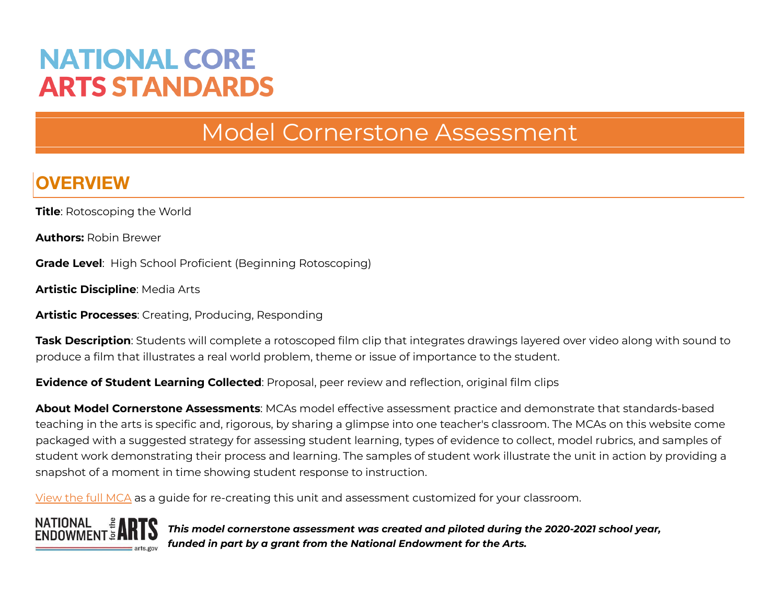# **NATIONAL CORE ARTS STANDARDS**

## Model Cornerstone Assessment

## **OVERVIEW**

**Title**: Rotoscoping the World

**Authors:** Robin Brewer

**Grade Level**: High School Proficient (Beginning Rotoscoping)

**Artistic Discipline**: Media Arts

**Artistic Processes**: Creating, Producing, Responding

**Task Description**: Students will complete a rotoscoped film clip that integrates drawings layered over video along with sound to produce a film that illustrates a real world problem, theme or issue of importance to the student.

**Evidence of Student Learning Collected**: Proposal, peer review and reflection, original film clips

**About Model Cornerstone Assessments**: MCAs model effective assessment practice and demonstrate that standards-based teaching in the arts is specific and, rigorous, by sharing a glimpse into one teacher's classroom. The MCAs on this website come packaged with a suggested strategy for assessing student learning, types of evidence to collect, model rubrics, and samples of student work demonstrating their process and learning. The samples of student work illustrate the unit in action by providing a snapshot of a moment in time showing student response to instruction.

[View](https://www.nationalartsstandards.org/sites/default/files/MA.RBR-Full-MCA.pdf) the full MCA as a guide for re-creating this unit and assessment customized for your classroom.



*This model cornerstone assessment was created and piloted during the 2020-2021 school year, funded in part by a grant from the National Endowment for the Arts.*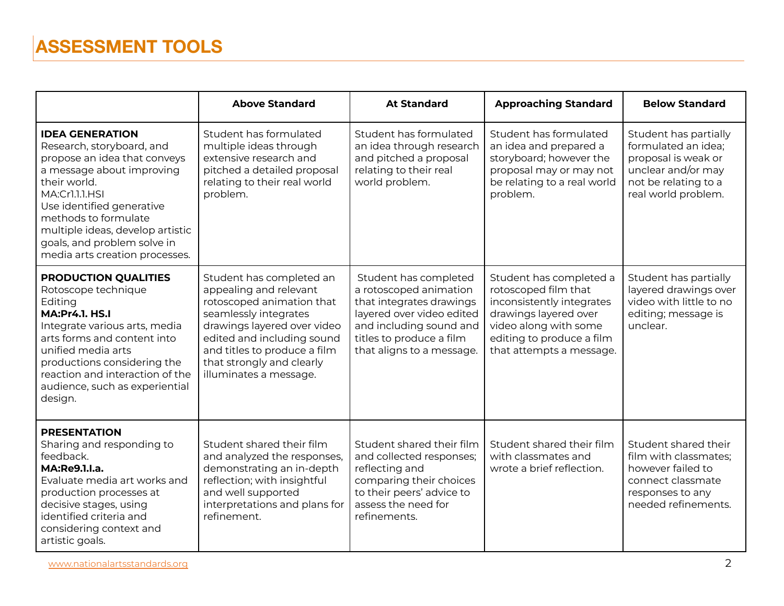|                                                                                                                                                                                                                                                                                                              | <b>Above Standard</b>                                                                                                                                                                                                                                        | <b>At Standard</b>                                                                                                                                                                           | <b>Approaching Standard</b>                                                                                                                                                             | <b>Below Standard</b>                                                                                                                    |
|--------------------------------------------------------------------------------------------------------------------------------------------------------------------------------------------------------------------------------------------------------------------------------------------------------------|--------------------------------------------------------------------------------------------------------------------------------------------------------------------------------------------------------------------------------------------------------------|----------------------------------------------------------------------------------------------------------------------------------------------------------------------------------------------|-----------------------------------------------------------------------------------------------------------------------------------------------------------------------------------------|------------------------------------------------------------------------------------------------------------------------------------------|
| <b>IDEA GENERATION</b><br>Research, storyboard, and<br>propose an idea that conveys<br>a message about improving<br>their world.<br>MA:Cr1.1.1.HSI<br>Use identified generative<br>methods to formulate<br>multiple ideas, develop artistic<br>goals, and problem solve in<br>media arts creation processes. | Student has formulated<br>multiple ideas through<br>extensive research and<br>pitched a detailed proposal<br>relating to their real world<br>problem.                                                                                                        | Student has formulated<br>an idea through research<br>and pitched a proposal<br>relating to their real<br>world problem.                                                                     | Student has formulated<br>an idea and prepared a<br>storyboard; however the<br>proposal may or may not<br>be relating to a real world<br>problem.                                       | Student has partially<br>formulated an idea;<br>proposal is weak or<br>unclear and/or may<br>not be relating to a<br>real world problem. |
| <b>PRODUCTION QUALITIES</b><br>Rotoscope technique<br>Editing<br><b>MA:Pr4.1. HS.I</b><br>Integrate various arts, media<br>arts forms and content into<br>unified media arts<br>productions considering the<br>reaction and interaction of the<br>audience, such as experiential<br>design.                  | Student has completed an<br>appealing and relevant<br>rotoscoped animation that<br>seamlessly integrates<br>drawings layered over video<br>edited and including sound<br>and titles to produce a film<br>that strongly and clearly<br>illuminates a message. | Student has completed<br>a rotoscoped animation<br>that integrates drawings<br>layered over video edited<br>and including sound and<br>titles to produce a film<br>that aligns to a message. | Student has completed a<br>rotoscoped film that<br>inconsistently integrates<br>drawings layered over<br>video along with some<br>editing to produce a film<br>that attempts a message. | Student has partially<br>layered drawings over<br>video with little to no<br>editing; message is<br>unclear.                             |
| <b>PRESENTATION</b><br>Sharing and responding to<br>feedback.<br>MA:Re9.1.I.a.<br>Evaluate media art works and<br>production processes at<br>decisive stages, using<br>identified criteria and<br>considering context and<br>artistic goals.                                                                 | Student shared their film<br>and analyzed the responses,<br>demonstrating an in-depth<br>reflection; with insightful<br>and well supported<br>interpretations and plans for<br>refinement.                                                                   | Student shared their film<br>and collected responses;<br>reflecting and<br>comparing their choices<br>to their peers' advice to<br>assess the need for<br>refinements.                       | Student shared their film<br>with classmates and<br>wrote a brief reflection.                                                                                                           | Student shared their<br>film with classmates;<br>however failed to<br>connect classmate<br>responses to any<br>needed refinements.       |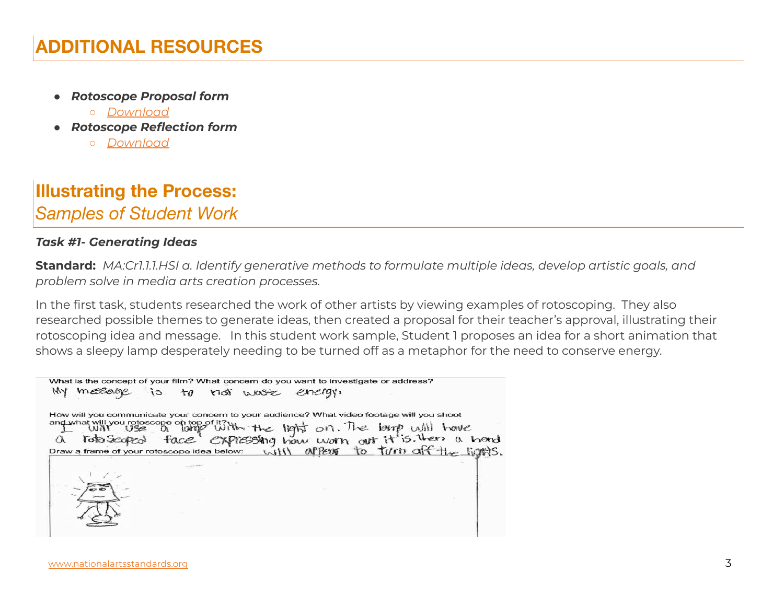- *● Rotoscope Proposal form*
	- *○ [Download](https://www.nationalartsstandards.org/sites/default/files/MA.RBR-Rotoscope-Proposal-Page.docx)*
- *● Rotoscope Reflection form*
	- *○ [Download](https://www.nationalartsstandards.org/sites/default/files/MA.RBR-Rotoscope-Reflection.docx)*

### **Illustrating the Process:** *Samples of Student Work*

#### *Task #1- Generating Ideas*

**Standard:** *MA:Cr1.1.1.HSI a. Identify generative methods to formulate multiple ideas, develop artistic goals, and problem solve in media arts creation processes.*

In the first task, students researched the work of other artists by viewing examples of rotoscoping. They also researched possible themes to generate ideas, then created a proposal for their teacher's approval, illustrating their rotoscoping idea and message. In this student work sample, Student 1 proposes an idea for a short animation that shows a sleepy lamp desperately needing to be turned off as a metaphor for the need to conserve energy.

| What is the concept of your film? What concern do you want to investigate or address?                                                                                                                                              |
|------------------------------------------------------------------------------------------------------------------------------------------------------------------------------------------------------------------------------------|
| message is to not wost energy.                                                                                                                                                                                                     |
| How will you communicate your concern to your audience? What video footage will you shoot                                                                                                                                          |
|                                                                                                                                                                                                                                    |
|                                                                                                                                                                                                                                    |
| and what will you rotoscope of top of it?ith the light on. The learp will have<br>a loto seaped face expressing how worn out it is. then a heard<br>Draw a frame of your rotoscope idea below: will appear to turn off the lights. |
|                                                                                                                                                                                                                                    |
|                                                                                                                                                                                                                                    |
|                                                                                                                                                                                                                                    |
|                                                                                                                                                                                                                                    |
|                                                                                                                                                                                                                                    |
|                                                                                                                                                                                                                                    |
|                                                                                                                                                                                                                                    |
|                                                                                                                                                                                                                                    |
|                                                                                                                                                                                                                                    |
|                                                                                                                                                                                                                                    |
|                                                                                                                                                                                                                                    |
|                                                                                                                                                                                                                                    |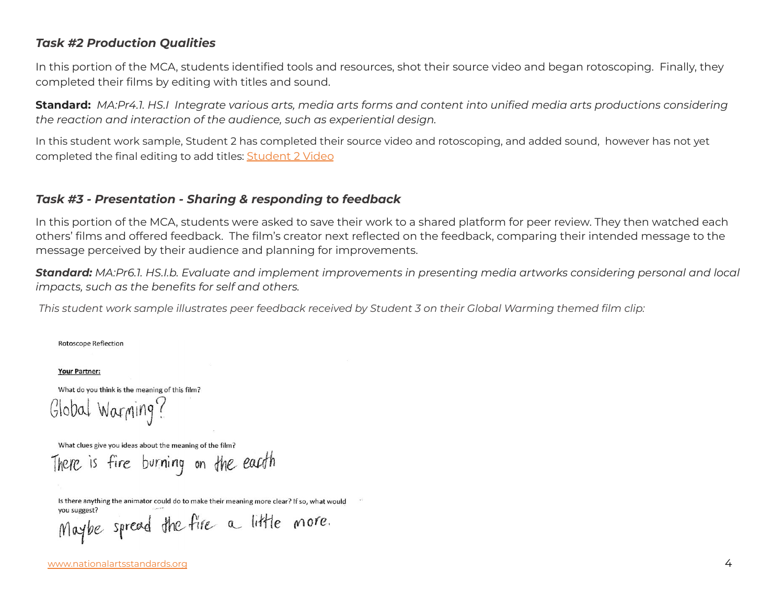#### *Task #2 Production Qualities*

In this portion of the MCA, students identified tools and resources, shot their source video and began rotoscoping. Finally, they completed their films by editing with titles and sound.

**Standard:** MA:Pr4.1. HS.I Integrate various arts, media arts forms and content into unified media arts productions considering *the reaction and interaction of the audience, such as experiential design.*

In this student work sample, Student 2 has completed their source video and rotoscoping, and added sound, however has not yet completed the final editing to add titles: [Student](https://www.dropbox.com/s/nvad158yxvb01pn/Robin%20Brewer%20-%20MA-RB-II-2-V.mp4?dl=0) 2 Video

#### *Task #3 - Presentation - Sharing & responding to feedback*

In this portion of the MCA, students were asked to save their work to a shared platform for peer review. They then watched each others' films and offered feedback. The film's creator next reflected on the feedback, comparing their intended message to the message perceived by their audience and planning for improvements.

**Standard:** MA:Pr6.1. HS.I.b. Evaluate and implement improvements in presenting media artworks considering personal and local *impacts, such as the benefits for self and others.*

This student work sample illustrates peer feedback received by Student 3 on their Global Warming themed film clip:

**Rotoscope Reflection** 

Your Partner:

What do you think is the meaning of this film? Global Warming!

What clues give you ideas about the meaning of the film?

There is fire burning on the eacoth

Is there anything the animator could do to make their meaning more clear? If so, what would Maybe spread the fire a little more.